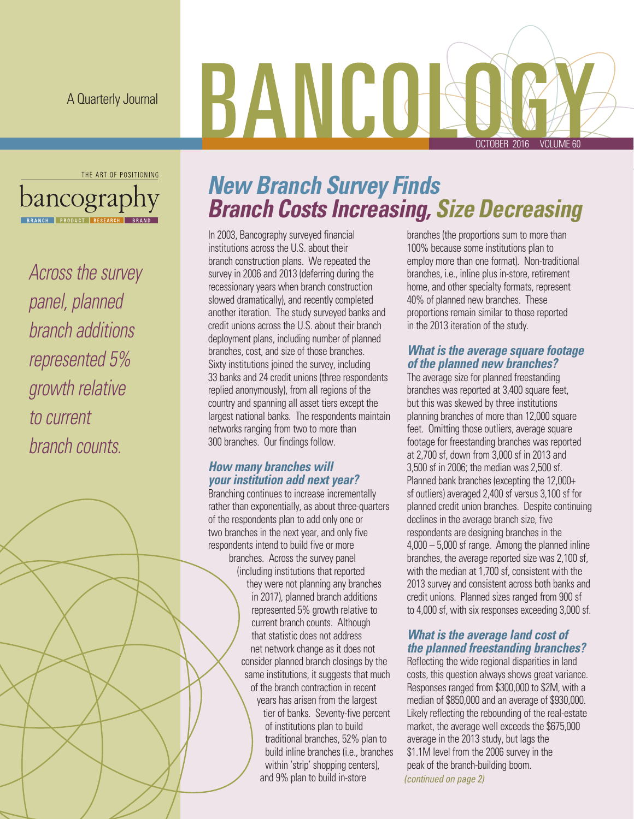A Quarterly Journal

# BANCOB OCTOBER 2016 VOLUME 60



*Across the survey panel, planned branch additions represented 5% growth relative to current branch counts.* 

### *New Branch Survey Finds Branch Costs Increasing, Size Decreasing*

In 2003, Bancography surveyed financial institutions across the U.S. about their branch construction plans. We repeated the survey in 2006 and 2013 (deferring during the recessionary years when branch construction slowed dramatically), and recently completed another iteration. The study surveyed banks and credit unions across the U.S. about their branch deployment plans, including number of planned branches, cost, and size of those branches. Sixty institutions joined the survey, including 33 banks and 24 credit unions (three respondents replied anonymously), from all regions of the country and spanning all asset tiers except the largest national banks. The respondents maintain networks ranging from two to more than 300 branches. Our findings follow.

### *How many branches will your institution add next year?*

Branching continues to increase incrementally rather than exponentially, as about three-quarters of the respondents plan to add only one or two branches in the next year, and only five respondents intend to build five or more branches. Across the survey panel (including institutions that reported they were not planning any branches in 2017), planned branch additions represented 5% growth relative to current branch counts. Although that statistic does not address net network change as it does not consider planned branch closings by the same institutions, it suggests that much of the branch contraction in recent years has arisen from the largest tier of banks. Seventy-five percent of institutions plan to build traditional branches, 52% plan to build inline branches (i.e., branches within 'strip' shopping centers), and 9% plan to build in-store

branches (the proportions sum to more than 100% because some institutions plan to employ more than one format). Non-traditional branches, i.e., inline plus in-store, retirement home, and other specialty formats, represent 40% of planned new branches. These proportions remain similar to those reported in the 2013 iteration of the study.

### *What is the average square footage of the planned new branches?*

The average size for planned freestanding branches was reported at 3,400 square feet, but this was skewed by three institutions planning branches of more than 12,000 square feet. Omitting those outliers, average square footage for freestanding branches was reported at 2,700 sf, down from 3,000 sf in 2013 and 3,500 sf in 2006; the median was 2,500 sf. Planned bank branches (excepting the 12,000+ sf outliers) averaged 2,400 sf versus 3,100 sf for planned credit union branches. Despite continuing declines in the average branch size, five respondents are designing branches in the 4,000 – 5,000 sf range. Among the planned inline branches, the average reported size was 2,100 sf, with the median at 1,700 sf, consistent with the 2013 survey and consistent across both banks and credit unions. Planned sizes ranged from 900 sf to 4,000 sf, with six responses exceeding 3,000 sf.

### *What is the average land cost of the planned freestanding branches?*

Reflecting the wide regional disparities in land costs, this question always shows great variance. Responses ranged from \$300,000 to \$2M, with a median of \$850,000 and an average of \$930,000. Likely reflecting the rebounding of the real-estate market, the average well exceeds the \$675,000 average in the 2013 study, but lags the \$1.1M level from the 2006 survey in the peak of the branch-building boom. *(continued on page 2)*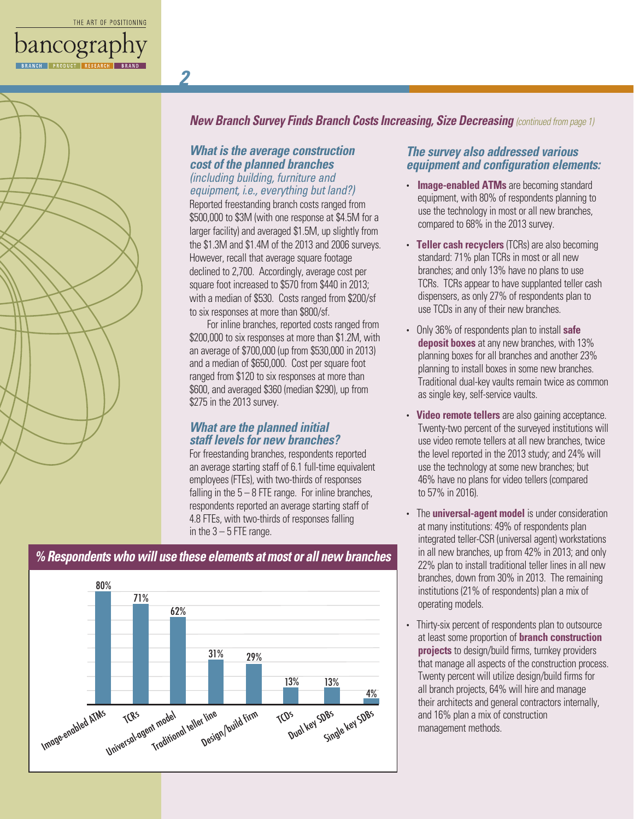*2*



*New Branch Survey Finds Branch Costs Increasing, Size Decreasing (continued from page 1)*

#### *What is the average construction cost of the planned branches (including building, furniture and equipment, i.e., everything but land?)*

Reported freestanding branch costs ranged from \$500,000 to \$3M (with one response at \$4.5M for a larger facility) and averaged \$1.5M, up slightly from the \$1.3M and \$1.4M of the 2013 and 2006 surveys. However, recall that average square footage declined to 2,700. Accordingly, average cost per square foot increased to \$570 from \$440 in 2013; with a median of \$530. Costs ranged from \$200/sf to six responses at more than \$800/sf.

For inline branches, reported costs ranged from \$200,000 to six responses at more than \$1.2M, with an average of \$700,000 (up from \$530,000 in 2013) and a median of \$650,000. Cost per square foot ranged from \$120 to six responses at more than \$600, and averaged \$360 (median \$290), up from \$275 in the 2013 survey.

#### *What are the planned initial staff levels for new branches?*

For freestanding branches, respondents reported an average starting staff of 6.1 full-time equivalent employees (FTEs), with two-thirds of responses falling in the  $5 - 8$  FTE range. For inline branches, respondents reported an average starting staff of 4.8 FTEs, with two-thirds of responses falling in the  $3 - 5$  FTE range.

### Image-enabled ATMs bled ATMS TCRS Tradition<br>Universal-agent model Traditional teller line her line explorite firm tops to the TCDS Wey SDBS Single key SDBs 80% 71% 62% 31% 29% 13% 13% 4%

#### *The survey also addressed various equipment and configuration elements:*

- **Image-enabled ATMs** are becoming standard equipment, with 80% of respondents planning to use the technology in most or all new branches, compared to 68% in the 2013 survey.
- **Teller cash recyclers** (TCRs) are also becoming standard: 71% plan TCRs in most or all new branches; and only 13% have no plans to use TCRs. TCRs appear to have supplanted teller cash dispensers, as only 27% of respondents plan to use TCDs in any of their new branches.
- Only 36% of respondents plan to install **safe deposit boxes** at any new branches, with 13% planning boxes for all branches and another 23% planning to install boxes in some new branches. Traditional dual-key vaults remain twice as common as single key, self-service vaults.
- **Video remote tellers** are also gaining acceptance. Twenty-two percent of the surveyed institutions will use video remote tellers at all new branches, twice the level reported in the 2013 study; and 24% will use the technology at some new branches; but 46% have no plans for video tellers (compared to 57% in 2016).
- The **universal-agent model** is under consideration at many institutions: 49% of respondents plan integrated teller-CSR (universal agent) workstations in all new branches, up from 42% in 2013; and only 22% plan to install traditional teller lines in all new branches, down from 30% in 2013. The remaining institutions (21% of respondents) plan a mix of operating models.
- Thirty-six percent of respondents plan to outsource at least some proportion of **branch construction projects** to design/build firms, turnkey providers that manage all aspects of the construction process. Twenty percent will utilize design/build firms for all branch projects, 64% will hire and manage their architects and general contractors internally, and 16% plan a mix of construction management methods.

### *% Respondents who will use these elements at most or all new branches*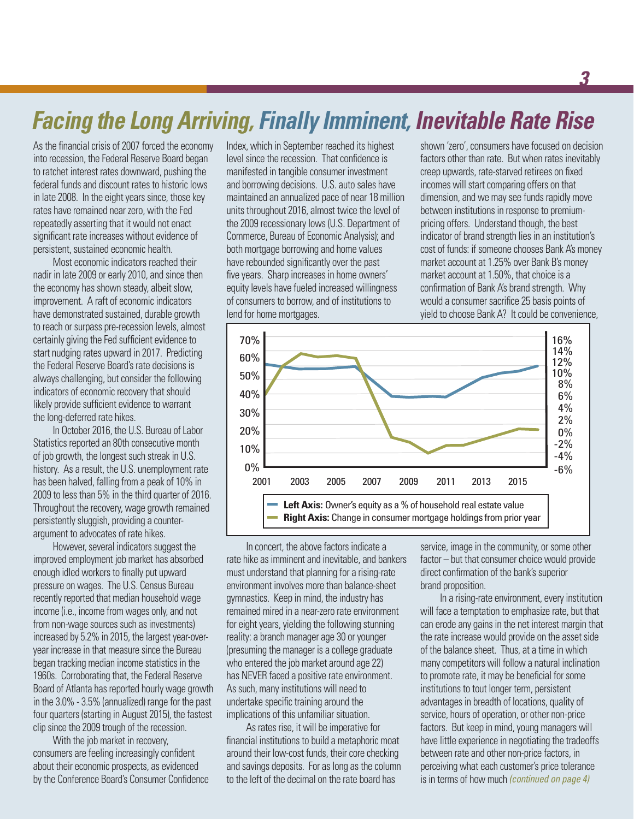### *Facing the Long Arriving, Finally Imminent, Inevitable Rate Rise*

As the financial crisis of 2007 forced the economy into recession, the Federal Reserve Board began to ratchet interest rates downward, pushing the federal funds and discount rates to historic lows in late 2008. In the eight years since, those key rates have remained near zero, with the Fed repeatedly asserting that it would not enact significant rate increases without evidence of persistent, sustained economic health.

Most economic indicators reached their nadir in late 2009 or early 2010, and since then the economy has shown steady, albeit slow, improvement. A raft of economic indicators have demonstrated sustained, durable growth to reach or surpass pre-recession levels, almost certainly giving the Fed sufficient evidence to start nudging rates upward in 2017. Predicting the Federal Reserve Board's rate decisions is always challenging, but consider the following indicators of economic recovery that should likely provide sufficient evidence to warrant the long-deferred rate hikes.

In October 2016, the U.S. Bureau of Labor Statistics reported an 80th consecutive month of job growth, the longest such streak in U.S. history. As a result, the U.S. unemployment rate has been halved, falling from a peak of 10% in 2009 to less than 5% in the third quarter of 2016. Throughout the recovery, wage growth remained persistently sluggish, providing a counterargument to advocates of rate hikes.

However, several indicators suggest the improved employment job market has absorbed enough idled workers to finally put upward pressure on wages. The U.S. Census Bureau recently reported that median household wage income (i.e., income from wages only, and not from non-wage sources such as investments) increased by 5.2% in 2015, the largest year-overyear increase in that measure since the Bureau began tracking median income statistics in the 1960s. Corroborating that, the Federal Reserve Board of Atlanta has reported hourly wage growth in the 3.0% - 3.5% (annualized) range for the past four quarters (starting in August 2015), the fastest clip since the 2009 trough of the recession.

With the job market in recovery, consumers are feeling increasingly confident about their economic prospects, as evidenced by the Conference Board's Consumer Confidence Index, which in September reached its highest level since the recession. That confidence is manifested in tangible consumer investment and borrowing decisions. U.S. auto sales have maintained an annualized pace of near 18 million units throughout 2016, almost twice the level of the 2009 recessionary lows (U.S. Department of Commerce, Bureau of Economic Analysis); and both mortgage borrowing and home values have rebounded significantly over the past five years. Sharp increases in home owners' equity levels have fueled increased willingness of consumers to borrow, and of institutions to lend for home mortgages.

shown 'zero', consumers have focused on decision factors other than rate. But when rates inevitably creep upwards, rate-starved retirees on fixed incomes will start comparing offers on that dimension, and we may see funds rapidly move between institutions in response to premiumpricing offers. Understand though, the best indicator of brand strength lies in an institution's cost of funds: if someone chooses Bank A's money market account at 1.25% over Bank B's money market account at 1.50%, that choice is a confirmation of Bank A's brand strength. Why would a consumer sacrifice 25 basis points of yield to choose Bank A? It could be convenience,



In concert, the above factors indicate a rate hike as imminent and inevitable, and bankers must understand that planning for a rising-rate environment involves more than balance-sheet gymnastics. Keep in mind, the industry has remained mired in a near-zero rate environment for eight years, yielding the following stunning reality: a branch manager age 30 or younger (presuming the manager is a college graduate who entered the job market around age 22) has NEVER faced a positive rate environment. As such, many institutions will need to undertake specific training around the implications of this unfamiliar situation.

As rates rise, it will be imperative for financial institutions to build a metaphoric moat around their low-cost funds, their core checking and savings deposits. For as long as the column to the left of the decimal on the rate board has

service, image in the community, or some other factor – but that consumer choice would provide direct confirmation of the bank's superior brand proposition.

In a rising-rate environment, every institution will face a temptation to emphasize rate, but that can erode any gains in the net interest margin that the rate increase would provide on the asset side of the balance sheet. Thus, at a time in which many competitors will follow a natural inclination to promote rate, it may be beneficial for some institutions to tout longer term, persistent advantages in breadth of locations, quality of service, hours of operation, or other non-price factors. But keep in mind, young managers will have little experience in negotiating the tradeoffs between rate and other non-price factors, in perceiving what each customer's price tolerance is in terms of how much *(continued on page 4)*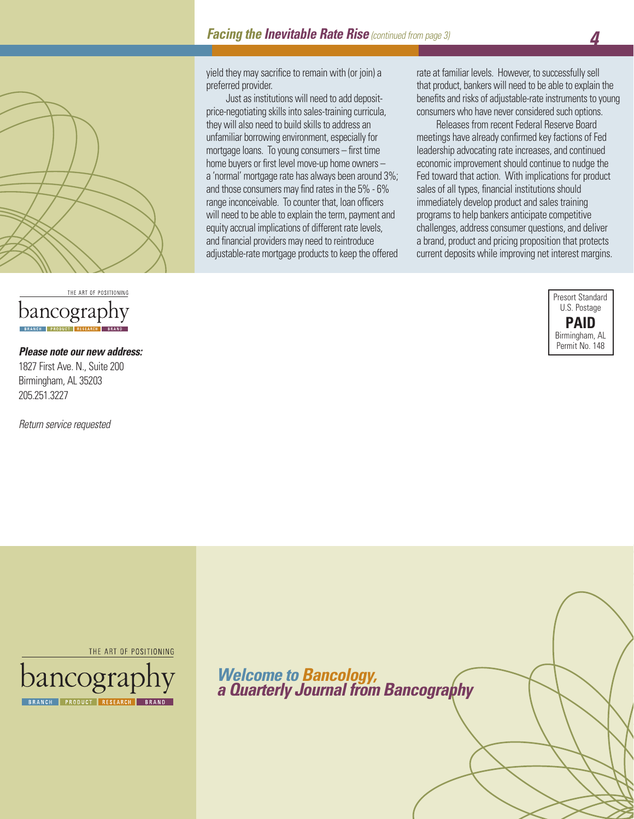

### THE ART OF POSITIONING bancograp

#### *Please note our new address:*

1827 First Ave. N., Suite 200 Birmingham, AL 35203 205.251.3227

*Return service requested*

yield they may sacrifice to remain with (or join) a preferred provider.

Just as institutions will need to add depositprice-negotiating skills into sales-training curricula, they will also need to build skills to address an unfamiliar borrowing environment, especially for mortgage loans. To young consumers – first time home buyers or first level move-up home owners – a 'normal' mortgage rate has always been around 3%; and those consumers may find rates in the 5% - 6% range inconceivable. To counter that, loan officers will need to be able to explain the term, payment and equity accrual implications of different rate levels, and financial providers may need to reintroduce adjustable-rate mortgage products to keep the offered

rate at familiar levels. However, to successfully sell that product, bankers will need to be able to explain the benefits and risks of adjustable-rate instruments to young consumers who have never considered such options.

Releases from recent Federal Reserve Board meetings have already confirmed key factions of Fed leadership advocating rate increases, and continued economic improvement should continue to nudge the Fed toward that action. With implications for product sales of all types, financial institutions should immediately develop product and sales training programs to help bankers anticipate competitive challenges, address consumer questions, and deliver a brand, product and pricing proposition that protects current deposits while improving net interest margins.



THE ART OF POSITIONING



*Welcome to Bancology, a Quarterly Journal from Bancography*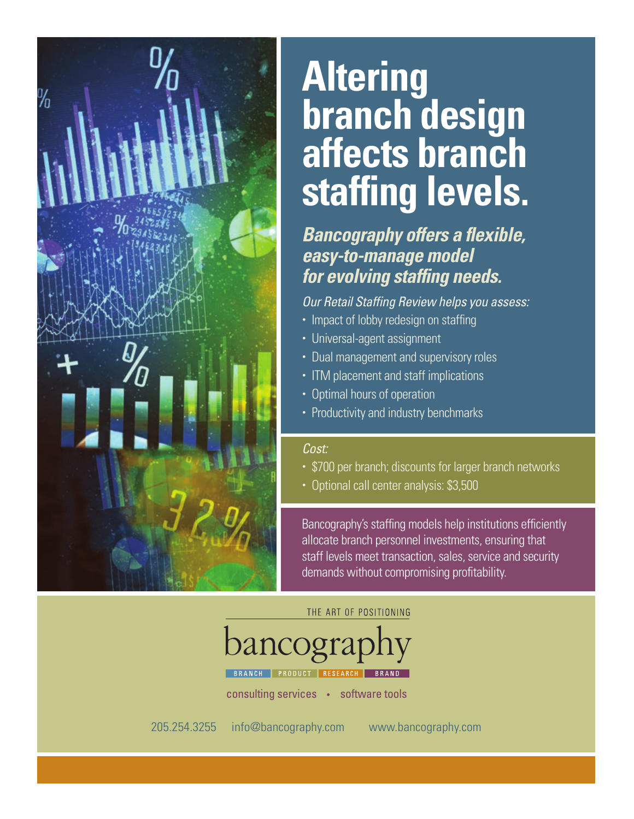

## **Altering branch design affects branch staffing levels.**

### *Bancography offers a flexible, easy-to-manage model for evolving staffing needs.*

*Our Retail Staffing Review helps you assess:*

- Impact of lobby redesign on staffing
- Universal-agent assignment
- Dual management and supervisory roles
- ITM placement and staff implications
- Optimal hours of operation
- Productivity and industry benchmarks

### *Cost:*

- \$700 per branch; discounts for larger branch networks
- Optional call center analysis: \$3,500

Bancography's staffing models help institutions efficiently allocate branch personnel investments, ensuring that staff levels meet transaction, sales, service and security demands without compromising profitability.

### THE ART OF POSITIONING

bancograp

PRODUCT RESEARCH BRAND

consulting services • software tools

205.254.3255 info@bancography.com www.bancography.com